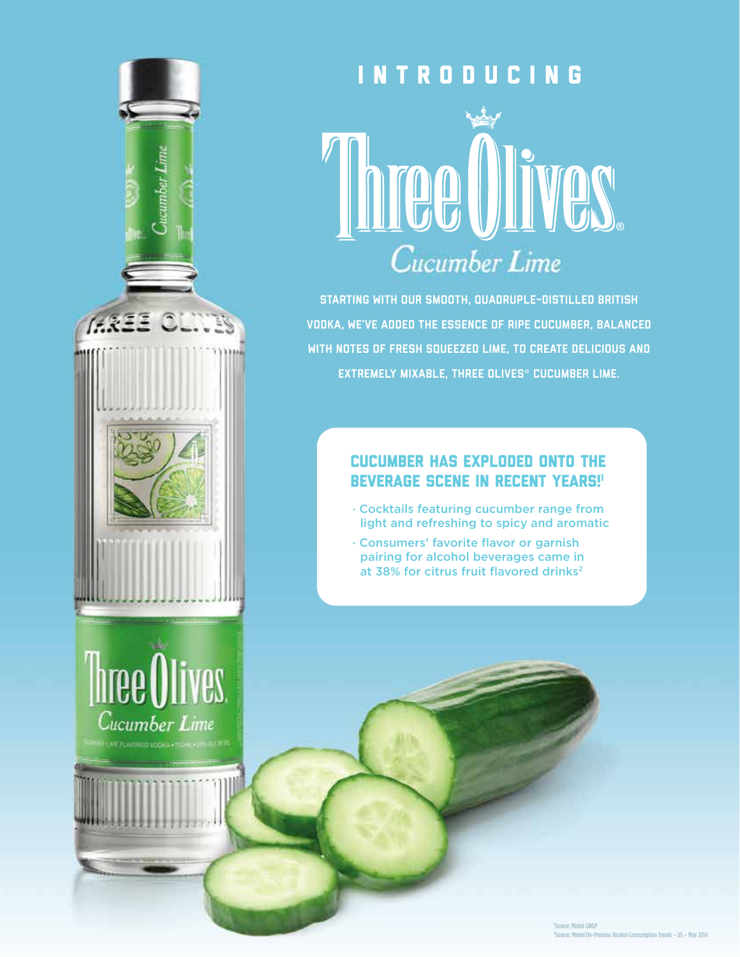

# **INTRODUCING THEE UITES** Cucumber Lime

Starting with our smooth, quadruple-distilled British vodka, we've added the essence of ripe cucumber, balanced with notes of fresh squeezed lime, to create delicious and extremely mixable, Three Olives® Cucumber Lime.

### Cucumber has exploded onto the **BEVERAGE SCENE IN RECENT YEARS!'**

- Cocktails featuring cucumber range from light and refreshing to spicy and aromatic
- Consumers' favorite flavor or garnish pairing for alcohol beverages came in at 38% for citrus fruit flavored drinks<sup>2</sup>